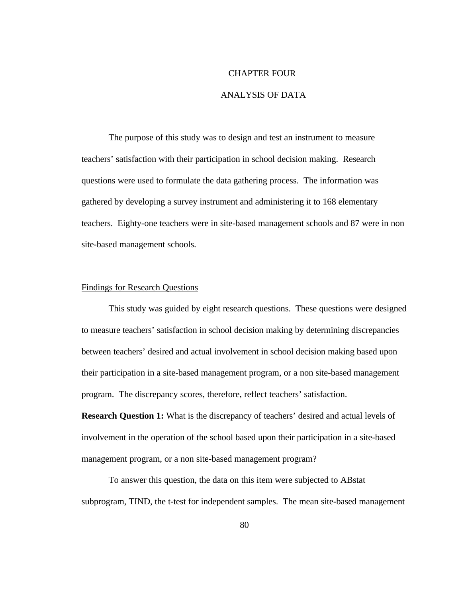# CHAPTER FOUR ANALYSIS OF DATA

The purpose of this study was to design and test an instrument to measure teachers' satisfaction with their participation in school decision making. Research questions were used to formulate the data gathering process. The information was gathered by developing a survey instrument and administering it to 168 elementary teachers. Eighty-one teachers were in site-based management schools and 87 were in non site-based management schools.

#### Findings for Research Questions

This study was guided by eight research questions. These questions were designed to measure teachers' satisfaction in school decision making by determining discrepancies between teachers' desired and actual involvement in school decision making based upon their participation in a site-based management program, or a non site-based management program. The discrepancy scores, therefore, reflect teachers' satisfaction.

**Research Question 1:** What is the discrepancy of teachers' desired and actual levels of involvement in the operation of the school based upon their participation in a site-based management program, or a non site-based management program?

To answer this question, the data on this item were subjected to ABstat subprogram, TIND, the t-test for independent samples. The mean site-based management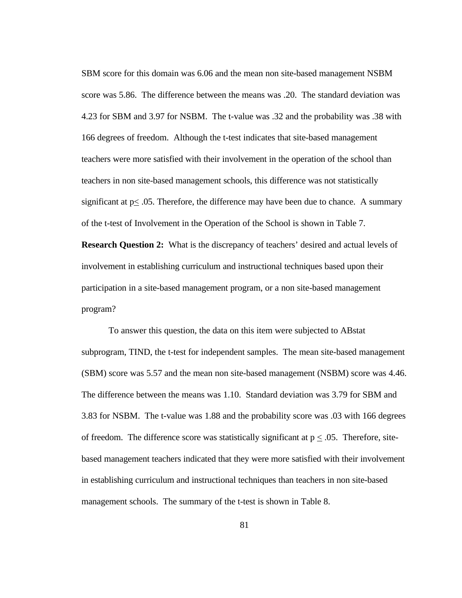SBM score for this domain was 6.06 and the mean non site-based management NSBM score was 5.86. The difference between the means was .20. The standard deviation was 4.23 for SBM and 3.97 for NSBM. The t-value was .32 and the probability was .38 with 166 degrees of freedom. Although the t-test indicates that site-based management teachers were more satisfied with their involvement in the operation of the school than teachers in non site-based management schools, this difference was not statistically significant at  $p \leq 0.05$ . Therefore, the difference may have been due to chance. A summary of the t-test of Involvement in the Operation of the School is shown in Table 7.

**Research Question 2:** What is the discrepancy of teachers' desired and actual levels of involvement in establishing curriculum and instructional techniques based upon their participation in a site-based management program, or a non site-based management program?

To answer this question, the data on this item were subjected to ABstat subprogram, TIND, the t-test for independent samples. The mean site-based management (SBM) score was 5.57 and the mean non site-based management (NSBM) score was 4.46. The difference between the means was 1.10. Standard deviation was 3.79 for SBM and 3.83 for NSBM. The t-value was 1.88 and the probability score was .03 with 166 degrees of freedom. The difference score was statistically significant at  $p \leq .05$ . Therefore, sitebased management teachers indicated that they were more satisfied with their involvement in establishing curriculum and instructional techniques than teachers in non site-based management schools. The summary of the t-test is shown in Table 8.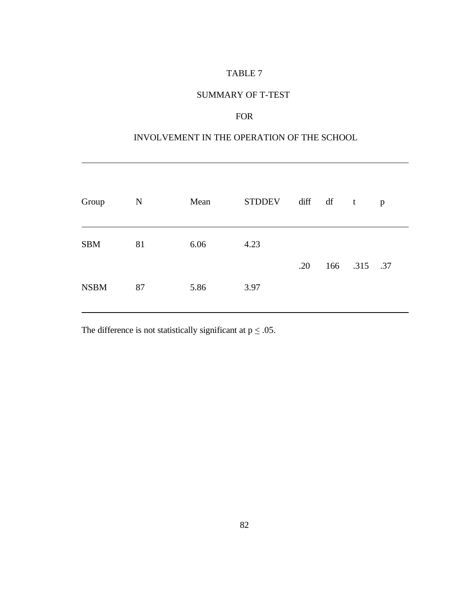#### SUMMARY OF T-TEST

## FOR

# INVOLVEMENT IN THE OPERATION OF THE SCHOOL

| Group       | $\mathbf N$ | Mean | <b>STDDEV</b> | diff df t |              | $\mathbf{p}$ |
|-------------|-------------|------|---------------|-----------|--------------|--------------|
| <b>SBM</b>  | 81          | 6.06 | 4.23          | .20       | 166 .315 .37 |              |
| <b>NSBM</b> | 87          | 5.86 | 3.97          |           |              |              |

The difference is not statistically significant at  $p \leq .05$ .

l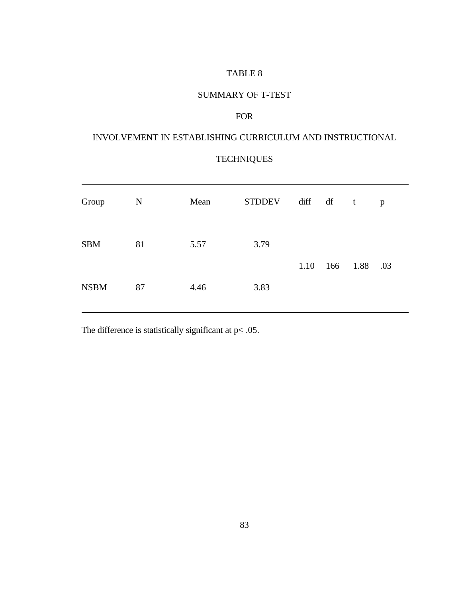## SUMMARY OF T-TEST

## FOR

# INVOLVEMENT IN ESTABLISHING CURRICULUM AND INSTRUCTIONAL

# **TECHNIQUES**

| Group       | $\mathbf N$ | Mean | <b>STDDEV</b> | diff df | $\mathbf{t}$ |               | p   |
|-------------|-------------|------|---------------|---------|--------------|---------------|-----|
| <b>SBM</b>  | 81          | 5.57 | 3.79          |         |              | 1.10 166 1.88 | .03 |
| <b>NSBM</b> | 87          | 4.46 | 3.83          |         |              |               |     |

The difference is statistically significant at  $p \leq .05$ .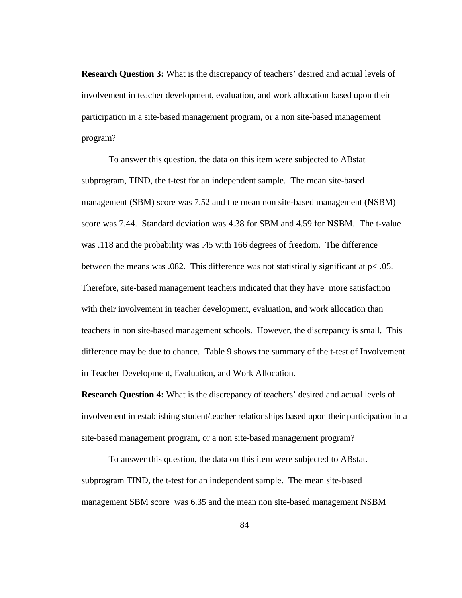**Research Question 3:** What is the discrepancy of teachers' desired and actual levels of involvement in teacher development, evaluation, and work allocation based upon their participation in a site-based management program, or a non site-based management program?

To answer this question, the data on this item were subjected to ABstat subprogram, TIND, the t-test for an independent sample. The mean site-based management (SBM) score was 7.52 and the mean non site-based management (NSBM) score was 7.44. Standard deviation was 4.38 for SBM and 4.59 for NSBM. The t-value was .118 and the probability was .45 with 166 degrees of freedom. The difference between the means was .082. This difference was not statistically significant at  $p \le 0.05$ . Therefore, site-based management teachers indicated that they have more satisfaction with their involvement in teacher development, evaluation, and work allocation than teachers in non site-based management schools. However, the discrepancy is small. This difference may be due to chance. Table 9 shows the summary of the t-test of Involvement in Teacher Development, Evaluation, and Work Allocation.

**Research Question 4:** What is the discrepancy of teachers' desired and actual levels of involvement in establishing student/teacher relationships based upon their participation in a site-based management program, or a non site-based management program?

To answer this question, the data on this item were subjected to ABstat. subprogram TIND, the t-test for an independent sample. The mean site-based management SBM score was 6.35 and the mean non site-based management NSBM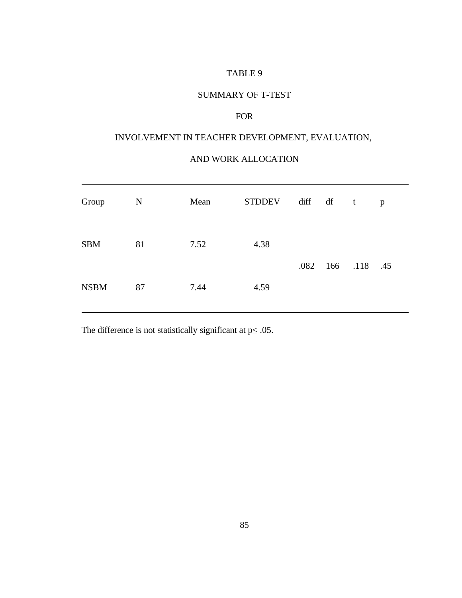## SUMMARY OF T-TEST

## FOR

## INVOLVEMENT IN TEACHER DEVELOPMENT, EVALUATION,

#### AND WORK ALLOCATION

| Group       | $\mathbf N$ | Mean | <b>STDDEV</b> | diff df t            | p |
|-------------|-------------|------|---------------|----------------------|---|
| <b>SBM</b>  | 81          | 7.52 | 4.38          | .082  166  .118  .45 |   |
| <b>NSBM</b> | 87          | 7.44 | 4.59          |                      |   |

The difference is not statistically significant at  $p \leq .05$ .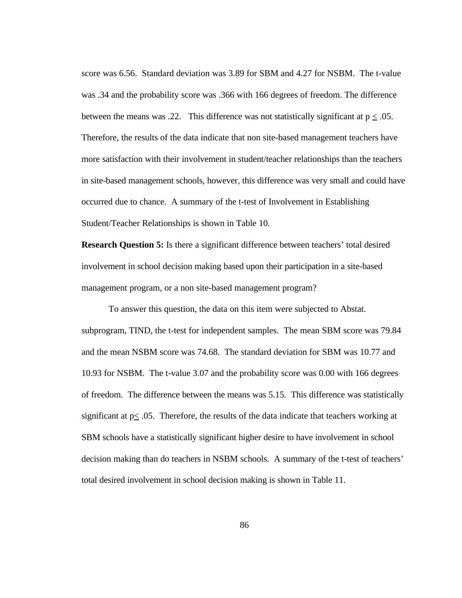score was 6.56. Standard deviation was 3.89 for SBM and 4.27 for NSBM. The t-value was .34 and the probability score was .366 with 166 degrees of freedom. The difference between the means was .22. This difference was not statistically significant at  $p \leq 0.05$ . Therefore, the results of the data indicate that non site-based management teachers have more satisfaction with their involvement in student/teacher relationships than the teachers in site-based management schools, however, this difference was very small and could have occurred due to chance. A summary of the t-test of Involvement in Establishing Student/Teacher Relationships is shown in Table 10.

**Research Question 5:** Is there a significant difference between teachers' total desired involvement in school decision making based upon their participation in a site-based management program, or a non site-based management program?

To answer this question, the data on this item were subjected to Abstat. subprogram, TIND, the t-test for independent samples. The mean SBM score was 79.84 and the mean NSBM score was 74.68. The standard deviation for SBM was 10.77 and 10.93 for NSBM. The t-value 3.07 and the probability score was 0.00 with 166 degrees of freedom. The difference between the means was 5.15. This difference was statistically significant at  $p < .05$ . Therefore, the results of the data indicate that teachers working at SBM schools have a statistically significant higher desire to have involvement in school decision making than do teachers in NSBM schools. A summary of the t-test of teachers' total desired involvement in school decision making is shown in Table 11.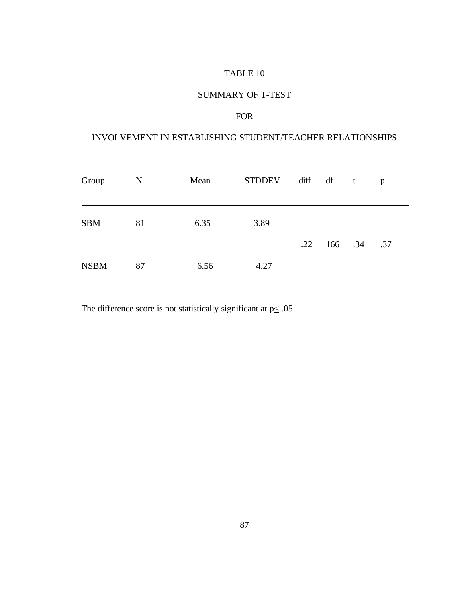### SUMMARY OF T-TEST

## FOR

# INVOLVEMENT IN ESTABLISHING STUDENT/TEACHER RELATIONSHIPS

| Group       | $\mathbf N$ | Mean | <b>STDDEV</b> | diff df |                           | $\mathbf{t}$ | p   |
|-------------|-------------|------|---------------|---------|---------------------------|--------------|-----|
| <b>SBM</b>  | 81          | 6.35 | 3.89          |         | $.22 \quad 166 \quad .34$ |              | .37 |
| <b>NSBM</b> | 87          | 6.56 | 4.27          |         |                           |              |     |

The difference score is not statistically significant at  $p \leq .05$ .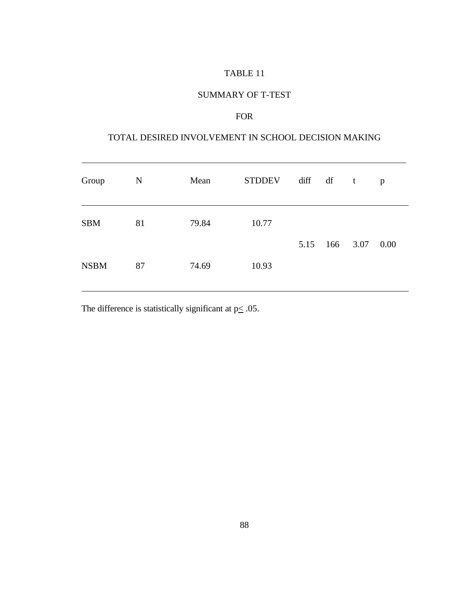### SUMMARY OF T-TEST

#### FOR

#### TOTAL DESIRED INVOLVEMENT IN SCHOOL DECISION MAKING

| Group       | $\mathbf N$ | Mean  | <b>STDDEV</b> | diff df |  | $\mathbf{t}$  | p    |
|-------------|-------------|-------|---------------|---------|--|---------------|------|
| <b>SBM</b>  | 81          | 79.84 | 10.77         |         |  | 5.15 166 3.07 | 0.00 |
| <b>NSBM</b> | 87          | 74.69 | 10.93         |         |  |               |      |

The difference is statistically significant at  $p \leq .05$ .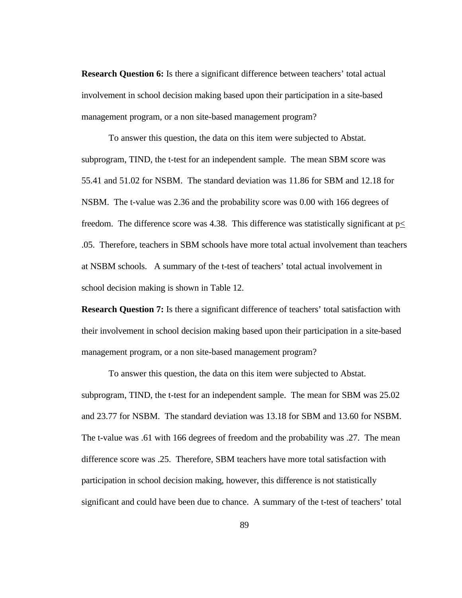**Research Question 6:** Is there a significant difference between teachers' total actual involvement in school decision making based upon their participation in a site-based management program, or a non site-based management program?

To answer this question, the data on this item were subjected to Abstat. subprogram, TIND, the t-test for an independent sample. The mean SBM score was 55.41 and 51.02 for NSBM. The standard deviation was 11.86 for SBM and 12.18 for NSBM. The t-value was 2.36 and the probability score was 0.00 with 166 degrees of freedom. The difference score was 4.38. This difference was statistically significant at  $p \leq$ .05. Therefore, teachers in SBM schools have more total actual involvement than teachers at NSBM schools. A summary of the t-test of teachers' total actual involvement in school decision making is shown in Table 12.

**Research Question 7:** Is there a significant difference of teachers' total satisfaction with their involvement in school decision making based upon their participation in a site-based management program, or a non site-based management program?

To answer this question, the data on this item were subjected to Abstat. subprogram, TIND, the t-test for an independent sample. The mean for SBM was 25.02 and 23.77 for NSBM. The standard deviation was 13.18 for SBM and 13.60 for NSBM. The t-value was .61 with 166 degrees of freedom and the probability was .27. The mean difference score was .25. Therefore, SBM teachers have more total satisfaction with participation in school decision making, however, this difference is not statistically significant and could have been due to chance. A summary of the t-test of teachers' total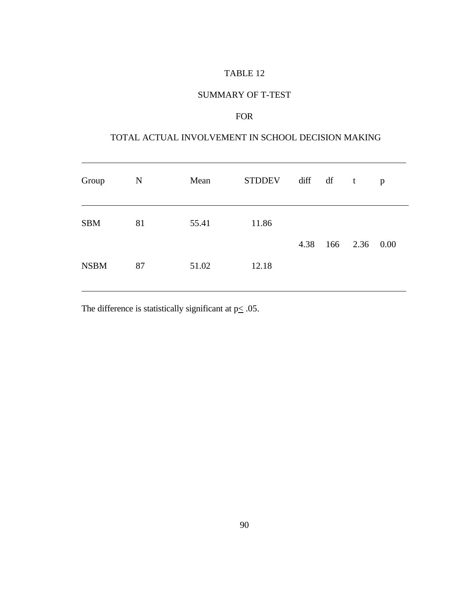### SUMMARY OF T-TEST

## FOR

# TOTAL ACTUAL INVOLVEMENT IN SCHOOL DECISION MAKING

| Group       | $\mathbf N$ | Mean  | <b>STDDEV</b> |      | diff df t |               | p |
|-------------|-------------|-------|---------------|------|-----------|---------------|---|
| <b>SBM</b>  | 81          | 55.41 | 11.86         | 4.38 |           | 166 2.36 0.00 |   |
| <b>NSBM</b> | 87          | 51.02 | 12.18         |      |           |               |   |

The difference is statistically significant at  $p \leq 0.05$ .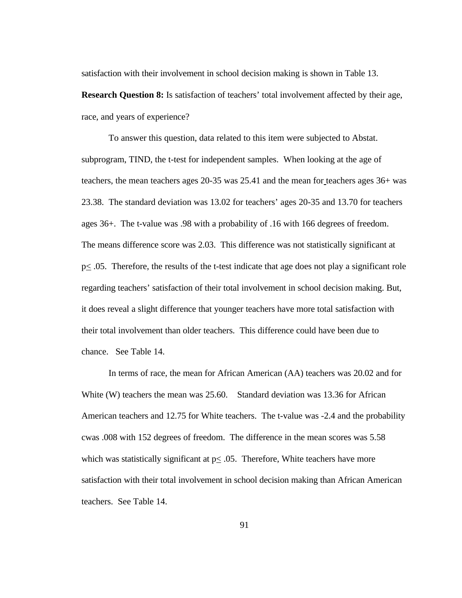satisfaction with their involvement in school decision making is shown in Table 13.

**Research Question 8:** Is satisfaction of teachers' total involvement affected by their age, race, and years of experience?

To answer this question, data related to this item were subjected to Abstat. subprogram, TIND, the t-test for independent samples. When looking at the age of teachers, the mean teachers ages 20-35 was 25.41 and the mean for teachers ages 36+ was 23.38. The standard deviation was 13.02 for teachers' ages 20-35 and 13.70 for teachers ages 36+. The t-value was .98 with a probability of .16 with 166 degrees of freedom. The means difference score was 2.03. This difference was not statistically significant at  $p \le 0.05$ . Therefore, the results of the t-test indicate that age does not play a significant role regarding teachers' satisfaction of their total involvement in school decision making. But, it does reveal a slight difference that younger teachers have more total satisfaction with their total involvement than older teachers. This difference could have been due to chance. See Table 14.

In terms of race, the mean for African American (AA) teachers was 20.02 and for White (W) teachers the mean was 25.60. Standard deviation was 13.36 for African American teachers and 12.75 for White teachers. The t-value was -2.4 and the probability cwas .008 with 152 degrees of freedom. The difference in the mean scores was 5.58 which was statistically significant at  $p \le 0.05$ . Therefore, White teachers have more satisfaction with their total involvement in school decision making than African American teachers. See Table 14.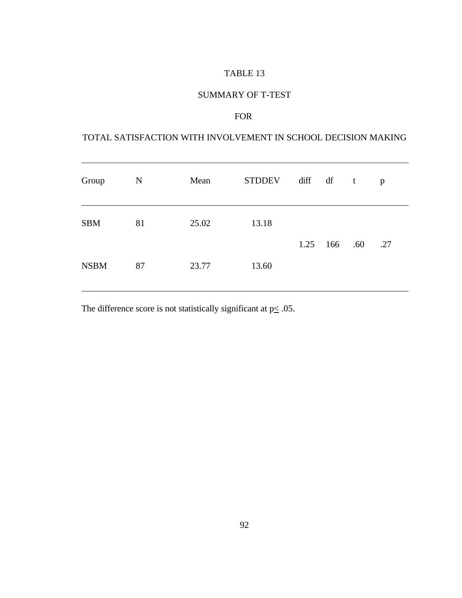## SUMMARY OF T-TEST

## FOR

#### TOTAL SATISFACTION WITH INVOLVEMENT IN SCHOOL DECISION MAKING

| Group       | N  | Mean  | <b>STDDEV</b> | diff df | $\mathbf{t}$ |     | p   |
|-------------|----|-------|---------------|---------|--------------|-----|-----|
| <b>SBM</b>  | 81 | 25.02 | 13.18         |         | 1.25 166     | .60 | .27 |
| <b>NSBM</b> | 87 | 23.77 | 13.60         |         |              |     |     |

The difference score is not statistically significant at  $p \leq .05$ .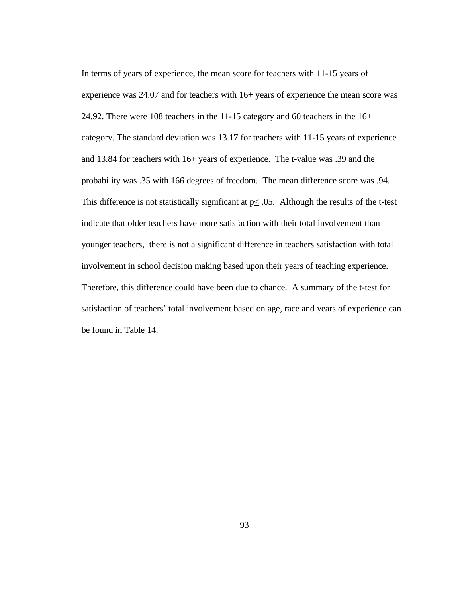In terms of years of experience, the mean score for teachers with 11-15 years of experience was 24.07 and for teachers with 16+ years of experience the mean score was 24.92. There were 108 teachers in the 11-15 category and 60 teachers in the 16+ category. The standard deviation was 13.17 for teachers with 11-15 years of experience and 13.84 for teachers with 16+ years of experience. The t-value was .39 and the probability was .35 with 166 degrees of freedom. The mean difference score was .94. This difference is not statistically significant at  $p \leq 0.05$ . Although the results of the t-test indicate that older teachers have more satisfaction with their total involvement than younger teachers, there is not a significant difference in teachers satisfaction with total involvement in school decision making based upon their years of teaching experience. Therefore, this difference could have been due to chance. A summary of the t-test for satisfaction of teachers' total involvement based on age, race and years of experience can be found in Table 14.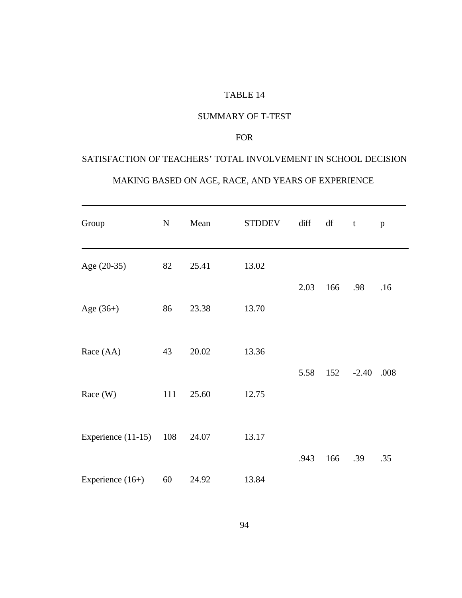#### SUMMARY OF T-TEST

#### FOR

# SATISFACTION OF TEACHERS' TOTAL INVOLVEMENT IN SCHOOL DECISION

#### MAKING BASED ON AGE, RACE, AND YEARS OF EXPERIENCE

| Group                    | ${\bf N}$ | Mean  | <b>STDDEV</b> | diff | df  | t       | $\, {\bf p}$ |
|--------------------------|-----------|-------|---------------|------|-----|---------|--------------|
| Age (20-35)              | 82        | 25.41 | 13.02         |      | 166 | .98     | .16          |
| Age $(36+)$              | 86        | 23.38 | 13.70         | 2.03 |     |         |              |
| Race (AA)                | 43        | 20.02 | 13.36         |      |     |         |              |
| Race (W)                 | 111       | 25.60 | 12.75         | 5.58 | 152 | $-2.40$ | .008         |
| Experience $(11-15)$ 108 |           | 24.07 | 13.17         |      |     |         |              |
| Experience $(16+)$       | 60        | 24.92 | 13.84         | .943 | 166 | .39     | .35          |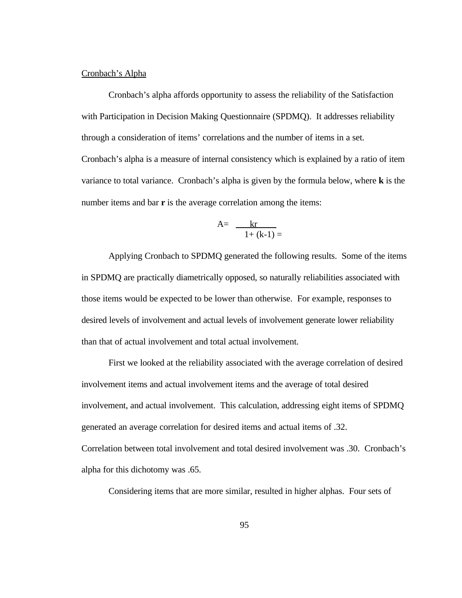#### Cronbach's Alpha

Cronbach's alpha affords opportunity to assess the reliability of the Satisfaction with Participation in Decision Making Questionnaire (SPDMQ). It addresses reliability through a consideration of items' correlations and the number of items in a set. Cronbach's alpha is a measure of internal consistency which is explained by a ratio of item variance to total variance. Cronbach's alpha is given by the formula below, where **k** is the number items and bar **r** is the average correlation among the items:

$$
A = \frac{kr}{1 + (k-1)} =
$$

Applying Cronbach to SPDMQ generated the following results. Some of the items in SPDMQ are practically diametrically opposed, so naturally reliabilities associated with those items would be expected to be lower than otherwise. For example, responses to desired levels of involvement and actual levels of involvement generate lower reliability than that of actual involvement and total actual involvement.

First we looked at the reliability associated with the average correlation of desired involvement items and actual involvement items and the average of total desired involvement, and actual involvement. This calculation, addressing eight items of SPDMQ generated an average correlation for desired items and actual items of .32. Correlation between total involvement and total desired involvement was .30. Cronbach's alpha for this dichotomy was .65.

Considering items that are more similar, resulted in higher alphas. Four sets of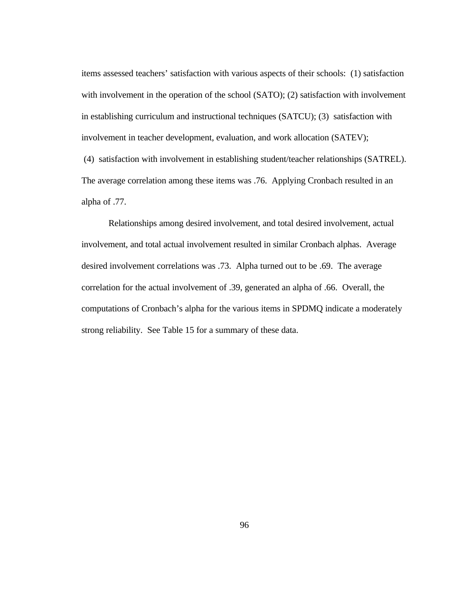items assessed teachers' satisfaction with various aspects of their schools: (1) satisfaction with involvement in the operation of the school (SATO); (2) satisfaction with involvement in establishing curriculum and instructional techniques (SATCU); (3) satisfaction with involvement in teacher development, evaluation, and work allocation (SATEV); (4) satisfaction with involvement in establishing student/teacher relationships (SATREL). The average correlation among these items was .76. Applying Cronbach resulted in an alpha of .77.

Relationships among desired involvement, and total desired involvement, actual involvement, and total actual involvement resulted in similar Cronbach alphas. Average desired involvement correlations was .73. Alpha turned out to be .69. The average correlation for the actual involvement of .39, generated an alpha of .66. Overall, the computations of Cronbach's alpha for the various items in SPDMQ indicate a moderately strong reliability. See Table 15 for a summary of these data.